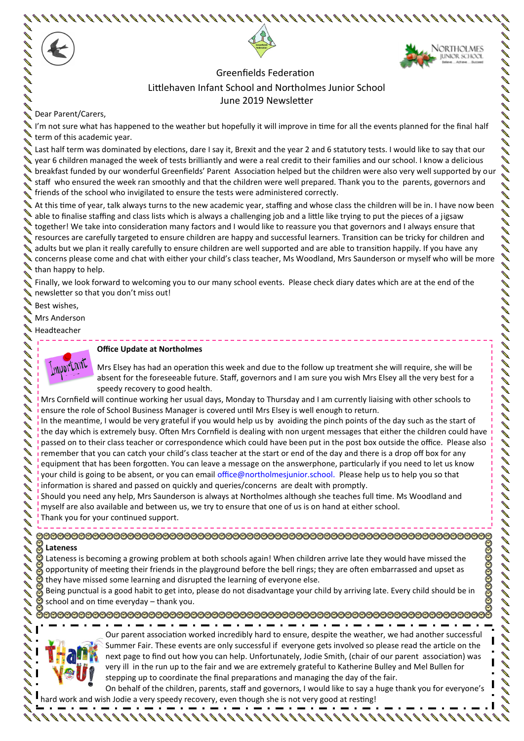

 Greenfields Federation Littlehaven Infant School and Northolmes Junior School June 2019 Newsletter

Dear Parent/Carers,

I'm not sure what has happened to the weather but hopefully it will improve in time for all the events planned for the final half term of this academic year.

Last half term was dominated by elections, dare I say it, Brexit and the year 2 and 6 statutory tests. I would like to say that our Usear 6 children managed the week of tests brilliantly and were a real credit to their families and our school. I know a delicious **I** breakfast funded by our wonderful Greenfields' Parent Association helped but the children were also very well supported by our staff who ensured the week ran smoothly and that the children were well prepared. Thank you to the parents, governors and friends of the school who invigilated to ensure the tests were administered correctly.

At this time of year, talk always turns to the new academic year, staffing and whose class the children will be in. I have now been able to finalise staffing and class lists which is always a challenging job and a little like trying to put the pieces of a jigsaw together! We take into consideration many factors and I would like to reassure you that governors and I always ensure that resources are carefully targeted to ensure children are happy and successful learners. Transition can be tricky for children and adults but we plan it really carefully to ensure children are well supported and are able to transition happily. If you have any concerns please come and chat with either your child's class teacher, Ms Woodland, Mrs Saunderson or myself who will be more than happy to help.

Finally, we look forward to welcoming you to our many school events. Please check diary dates which are at the end of the newsletter so that you don't miss out!

Best wishes,

Mrs Anderson

Headteacher



#### **Office Update at Northolmes**

Mrs Elsey has had an operation this week and due to the follow up treatment she will require, she will be absent for the foreseeable future. Staff, governors and I am sure you wish Mrs Elsey all the very best for a speedy recovery to good health.

Mrs Cornfield will continue working her usual days, Monday to Thursday and I am currently liaising with other schools to ensure the role of School Business Manager is covered until Mrs Elsey is well enough to return.

In the meantime, I would be very grateful if you would help us by avoiding the pinch points of the day such as the start of the day which is extremely busy. Often Mrs Cornfield is dealing with non urgent messages that either the children could have passed on to their class teacher or correspondence which could have been put in the post box outside the office. Please also remember that you can catch your child's class teacher at the start or end of the day and there is a drop off box for any equipment that has been forgotten. You can leave a message on the answerphone, particularly if you need to let us know your child is going to be absent, or you can email office@northolmesjunior.school. Please help us to help you so that information is shared and passed on quickly and queries/concerns are dealt with promptly.

Should you need any help, Mrs Saunderson is always at Northolmes although she teaches full time. Ms Woodland and myself are also available and between us, we try to ensure that one of us is on hand at either school.

Thank you for your continued support.

**Lateness** Lateness is becoming a growing problem at both schools again! When children arrive late they would have missed the

opportunity of meeting their friends in the playground before the bell rings; they are often embarrassed and upset as they have missed some learning and disrupted the learning of everyone else.

 $\frac{1}{3}$  Being punctual is a good habit to get into, please do not disadvantage your child by arriving late. Every child should be in school and on time everyday – thank you.



Our parent association worked incredibly hard to ensure, despite the weather, we had another successful Summer Fair. These events are only successful if everyone gets involved so please read the article on the next page to find out how you can help. Unfortunately, Jodie Smith, (chair of our parent association) was very ill in the run up to the fair and we are extremely grateful to Katherine Bulley and Mel Bullen for stepping up to coordinate the final preparations and managing the day of the fair.

On behalf of the children, parents, staff and governors, I would like to say a huge thank you for everyone's hard work and wish Jodie a very speedy recovery, even though she is not very good at resting!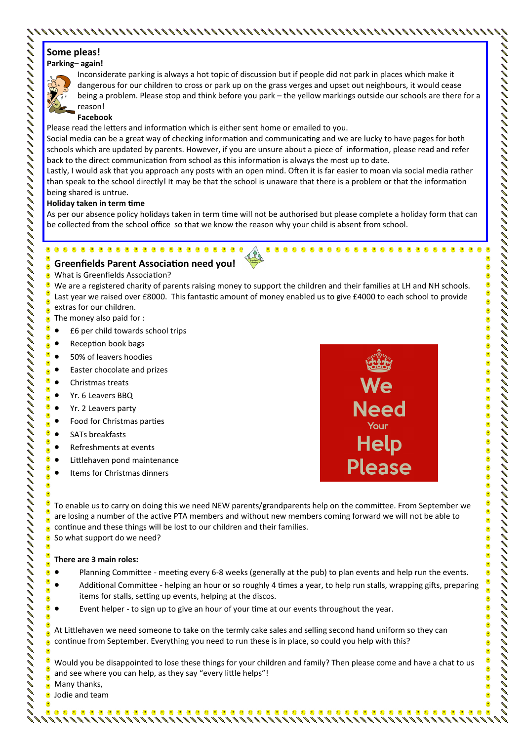# **Some pleas!**

### **Parking– again!**



Inconsiderate parking is always a hot topic of discussion but if people did not park in places which make it dangerous for our children to cross or park up on the grass verges and upset out neighbours, it would cease being a problem. Please stop and think before you park – the yellow markings outside our schools are there for a reason!

#### **Facebook**

Please read the letters and information which is either sent home or emailed to you.

Social media can be a great way of checking information and communicating and we are lucky to have pages for both schools which are updated by parents. However, if you are unsure about a piece of information, please read and refer back to the direct communication from school as this information is always the most up to date.

Lastly, I would ask that you approach any posts with an open mind. Often it is far easier to moan via social media rather than speak to the school directly! It may be that the school is unaware that there is a problem or that the information being shared is untrue.

#### **Holiday taken in term time**

As per our absence policy holidays taken in term time will not be authorised but please complete a holiday form that can be collected from the school office so that we know the reason why your child is absent from school.

## **Greenfields Parent Association need you!**

What is Greenfields Association?

We are a registered charity of parents raising money to support the children and their families at LH and NH schools. Last year we raised over £8000. This fantastic amount of money enabled us to give £4000 to each school to provide extras for our children.

- The money also paid for :
- £6 per child towards school trips
- Reception book bags
- 50% of leavers hoodies
- Easter chocolate and prizes
- Christmas treats

●

 $\bullet$ Q 0 0 Ø  $\hat{\mathbf{a}}$ 

0 Ø

Ô  $\bullet$ Ø ø  $\bullet$ 

C

Ô

Ô

Ō

- Yr. 6 Leavers BBQ
- Yr. 2 Leavers party
- Food for Christmas parties
- SATs breakfasts
- Refreshments at events
- Littlehaven pond maintenance
- Items for Christmas dinners



To enable us to carry on doing this we need NEW parents/grandparents help on the committee. From September we are losing a number of the active PTA members and without new members coming forward we will not be able to continue and these things will be lost to our children and their families. So what support do we need?

**There are 3 main roles:**

- Planning Committee meeting every 6-8 weeks (generally at the pub) to plan events and help run the events.
- Additional Committee helping an hour or so roughly 4 times a year, to help run stalls, wrapping gifts, preparing items for stalls, setting up events, helping at the discos.
- Event helper to sign up to give an hour of your time at our events throughout the year.

At Littlehaven we need someone to take on the termly cake sales and selling second hand uniform so they can continue from September. Everything you need to run these is in place, so could you help with this?

Would you be disappointed to lose these things for your children and family? Then please come and have a chat to us and see where you can help, as they say "every little helps"!

Many thanks,

Jodie and team